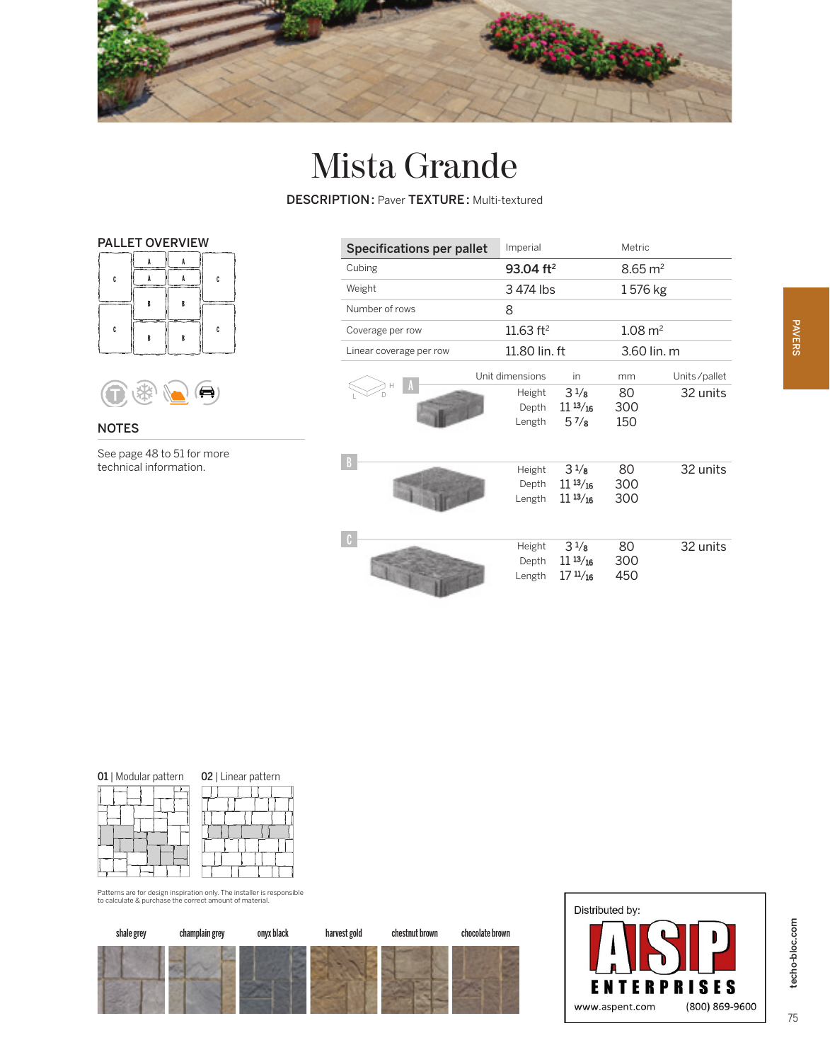

## Mista Grande

DESCRIPTION : Paver TEXTURE : Multi-textured





NOTES

See page 48 to 51 for more technical information.

| <b>Specifications per pallet</b> | Imperial                  |                                                         | Metric             |              |
|----------------------------------|---------------------------|---------------------------------------------------------|--------------------|--------------|
| Cubing                           | 93.04 ft <sup>2</sup>     |                                                         | $8.65 \text{ m}^2$ |              |
| Weight                           | 3474 lbs                  |                                                         | 1576 kg            |              |
| Number of rows                   | 8                         |                                                         |                    |              |
| Coverage per row                 | 11.63 $ft^2$              |                                                         | $1.08 \text{ m}^2$ |              |
| Linear coverage per row          | 11.80 lin. ft             |                                                         | 3.60 lin. m        |              |
|                                  | Unit dimensions           | in                                                      | mm                 | Units/pallet |
|                                  | Height<br>Depth<br>Length | $3\frac{1}{8}$<br>$11^{13}/_{16}$<br>57/s               | 80<br>300<br>150   | 32 units     |
|                                  | Height<br>Depth<br>Length | $3\frac{1}{8}$<br>$11^{13}/_{16}$<br>$11^{13}/_{16}$    | 80<br>300<br>300   | 32 units     |
|                                  | Height<br>Depth<br>Length | $3\frac{1}{8}$<br>$11^{13}/_{16}$<br>$17 \frac{11}{16}$ | 80<br>300<br>450   | 32 units     |

| 01   Modular pattern | 02   Linear pattern |  |
|----------------------|---------------------|--|
|                      |                     |  |
|                      |                     |  |
|                      |                     |  |
|                      |                     |  |

en a m  $\mathbf{H}$ 

Patterns are for design inspiration only. The installer is responsible to calculate & purchase the correct amount of material.





75